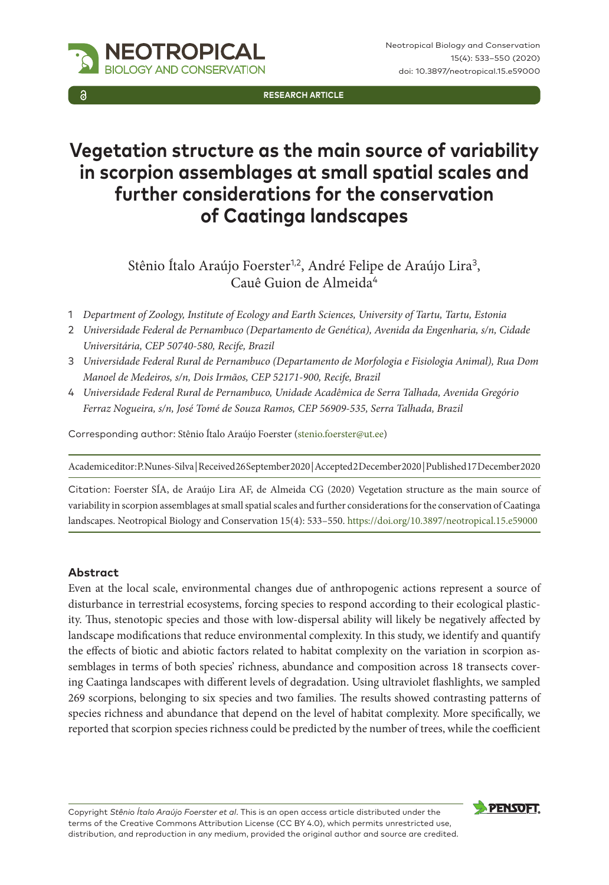

# **Vegetation structure as the main source of variability in scorpion assemblages at small spatial scales and further considerations for the conservation of Caatinga landscapes**

Stênio Ítalo Araújo Foerster<sup>1,2</sup>, André Felipe de Araújo Lira<sup>3</sup>, Cauê Guion de Almeida<sup>4</sup>

- 1 *Department of Zoology, Institute of Ecology and Earth Sciences, University of Tartu, Tartu, Estonia*
- 2 *Universidade Federal de Pernambuco (Departamento de Genética), Avenida da Engenharia, s/n, Cidade Universitária, CEP 50740-580, Recife, Brazil*
- 3 *Universidade Federal Rural de Pernambuco (Departamento de Morfologia e Fisiologia Animal), Rua Dom Manoel de Medeiros, s/n, Dois Irmãos, CEP 52171-900, Recife, Brazil*
- 4 *Universidade Federal Rural de Pernambuco, Unidade Acadêmica de Serra Talhada, Avenida Gregório Ferraz Nogueira, s/n, José Tomé de Souza Ramos, CEP 56909-535, Serra Talhada, Brazil*

Corresponding author: Stênio Ítalo Araújo Foerster ([stenio.foerster@ut.ee\)](mailto:stenio.foerster@ut.ee)

Academic editor: P. Nunes-Silva | Received 26 September 2020 | Accepted 2 December 2020 | Published 17 December 2020

Citation: Foerster SÍA, de Araújo Lira AF, de Almeida CG (2020) Vegetation structure as the main source of variability in scorpion assemblages at small spatial scales and further considerations for the conservation of Caatinga landscapes. Neotropical Biology and Conservation 15(4): 533–550. <https://doi.org/10.3897/neotropical.15.e59000>

#### **Abstract**

Even at the local scale, environmental changes due of anthropogenic actions represent a source of disturbance in terrestrial ecosystems, forcing species to respond according to their ecological plasticity. Thus, stenotopic species and those with low-dispersal ability will likely be negatively affected by landscape modifications that reduce environmental complexity. In this study, we identify and quantify the effects of biotic and abiotic factors related to habitat complexity on the variation in scorpion assemblages in terms of both species' richness, abundance and composition across 18 transects covering Caatinga landscapes with different levels of degradation. Using ultraviolet flashlights, we sampled 269 scorpions, belonging to six species and two families. The results showed contrasting patterns of species richness and abundance that depend on the level of habitat complexity. More specifically, we reported that scorpion species richness could be predicted by the number of trees, while the coefficient

Copyright *Stênio Ítalo Araújo Foerster et al*. This is an open access article distributed under the terms of the [Creative Commons Attribution License \(CC BY 4.0\)](http://creativecommons.org/licenses/by/4.0/), which permits unrestricted use, distribution, and reproduction in any medium, provided the original author and source are credited.





**NEOTROPICAL** GY AND CONSERVATION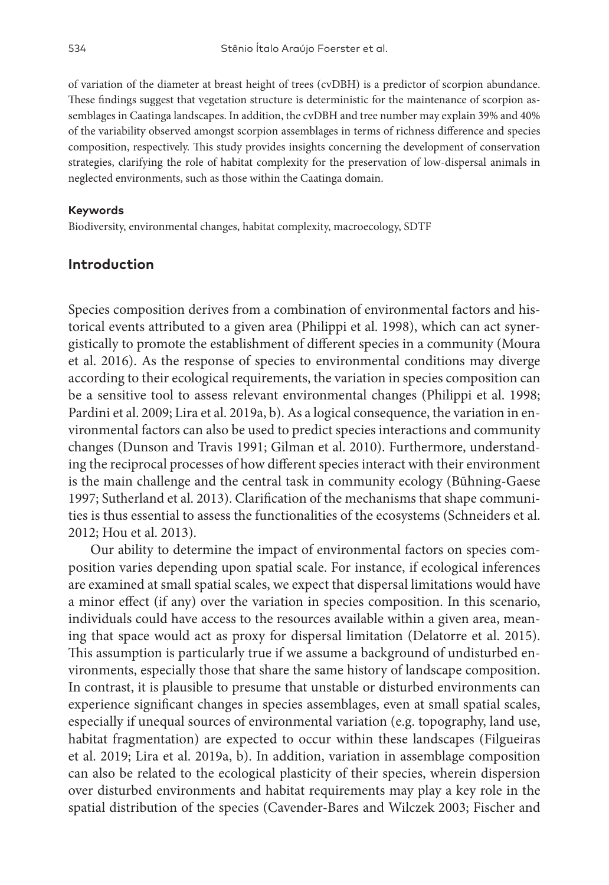of variation of the diameter at breast height of trees (cvDBH) is a predictor of scorpion abundance. These findings suggest that vegetation structure is deterministic for the maintenance of scorpion assemblages in Caatinga landscapes. In addition, the cvDBH and tree number may explain 39% and 40% of the variability observed amongst scorpion assemblages in terms of richness difference and species composition, respectively. This study provides insights concerning the development of conservation strategies, clarifying the role of habitat complexity for the preservation of low-dispersal animals in neglected environments, such as those within the Caatinga domain.

#### **Keywords**

Biodiversity, environmental changes, habitat complexity, macroecology, SDTF

#### **Introduction**

Species composition derives from a combination of environmental factors and historical events attributed to a given area (Philippi et al. 1998), which can act synergistically to promote the establishment of different species in a community (Moura et al. 2016). As the response of species to environmental conditions may diverge according to their ecological requirements, the variation in species composition can be a sensitive tool to assess relevant environmental changes (Philippi et al. 1998; Pardini et al. 2009; Lira et al. 2019a, b). As a logical consequence, the variation in environmental factors can also be used to predict species interactions and community changes (Dunson and Travis 1991; Gilman et al. 2010). Furthermore, understanding the reciprocal processes of how different species interact with their environment is the main challenge and the central task in community ecology (Būhning-Gaese 1997; Sutherland et al. 2013). Clarification of the mechanisms that shape communities is thus essential to assess the functionalities of the ecosystems (Schneiders et al. 2012; Hou et al. 2013).

Our ability to determine the impact of environmental factors on species composition varies depending upon spatial scale. For instance, if ecological inferences are examined at small spatial scales, we expect that dispersal limitations would have a minor effect (if any) over the variation in species composition. In this scenario, individuals could have access to the resources available within a given area, meaning that space would act as proxy for dispersal limitation (Delatorre et al. 2015). This assumption is particularly true if we assume a background of undisturbed environments, especially those that share the same history of landscape composition. In contrast, it is plausible to presume that unstable or disturbed environments can experience significant changes in species assemblages, even at small spatial scales, especially if unequal sources of environmental variation (e.g. topography, land use, habitat fragmentation) are expected to occur within these landscapes (Filgueiras et al. 2019; Lira et al. 2019a, b). In addition, variation in assemblage composition can also be related to the ecological plasticity of their species, wherein dispersion over disturbed environments and habitat requirements may play a key role in the spatial distribution of the species (Cavender-Bares and Wilczek 2003; Fischer and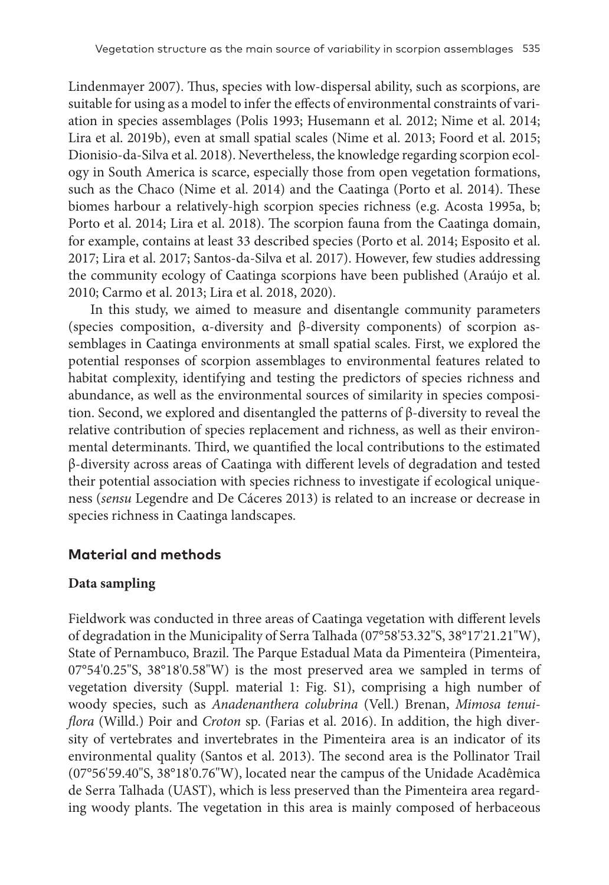Lindenmayer 2007). Thus, species with low-dispersal ability, such as scorpions, are suitable for using as a model to infer the effects of environmental constraints of variation in species assemblages (Polis 1993; Husemann et al. 2012; Nime et al. 2014; Lira et al. 2019b), even at small spatial scales (Nime et al. 2013; Foord et al. 2015; Dionisio-da-Silva et al. 2018). Nevertheless, the knowledge regarding scorpion ecology in South America is scarce, especially those from open vegetation formations, such as the Chaco (Nime et al. 2014) and the Caatinga (Porto et al. 2014). These biomes harbour a relatively-high scorpion species richness (e.g. Acosta 1995a, b; Porto et al. 2014; Lira et al. 2018). The scorpion fauna from the Caatinga domain, for example, contains at least 33 described species (Porto et al. 2014; Esposito et al. 2017; Lira et al. 2017; Santos-da-Silva et al. 2017). However, few studies addressing the community ecology of Caatinga scorpions have been published (Araújo et al. 2010; Carmo et al. 2013; Lira et al. 2018, 2020).

In this study, we aimed to measure and disentangle community parameters (species composition, α-diversity and β-diversity components) of scorpion assemblages in Caatinga environments at small spatial scales. First, we explored the potential responses of scorpion assemblages to environmental features related to habitat complexity, identifying and testing the predictors of species richness and abundance, as well as the environmental sources of similarity in species composition. Second, we explored and disentangled the patterns of β-diversity to reveal the relative contribution of species replacement and richness, as well as their environmental determinants. Third, we quantified the local contributions to the estimated β-diversity across areas of Caatinga with different levels of degradation and tested their potential association with species richness to investigate if ecological uniqueness (*sensu* Legendre and De Cáceres 2013) is related to an increase or decrease in species richness in Caatinga landscapes.

## **Material and methods**

## **Data sampling**

Fieldwork was conducted in three areas of Caatinga vegetation with different levels of degradation in the Municipality of Serra Talhada (07°58'53.32"S, 38°17'21.21"W), State of Pernambuco, Brazil. The Parque Estadual Mata da Pimenteira (Pimenteira, 07°54'0.25"S, 38°18'0.58"W) is the most preserved area we sampled in terms of vegetation diversity (Suppl. material 1: Fig. S1), comprising a high number of woody species, such as *Anadenanthera colubrina* (Vell.) Brenan, *Mimosa tenuiflora* (Willd.) Poir and *Croton* sp. (Farias et al. 2016). In addition, the high diversity of vertebrates and invertebrates in the Pimenteira area is an indicator of its environmental quality (Santos et al. 2013). The second area is the Pollinator Trail (07°56'59.40"S, 38°18'0.76"W), located near the campus of the Unidade Acadêmica de Serra Talhada (UAST), which is less preserved than the Pimenteira area regarding woody plants. The vegetation in this area is mainly composed of herbaceous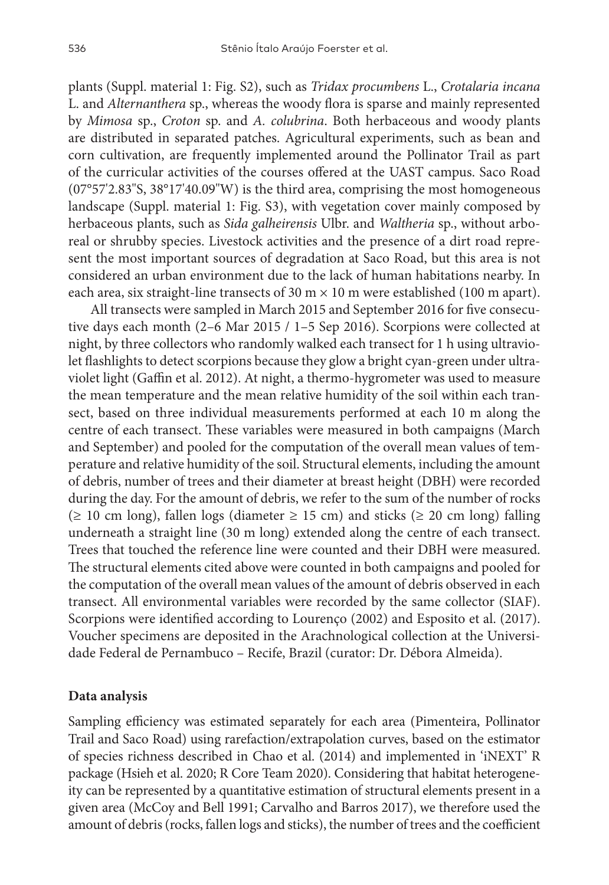plants (Suppl. material 1: Fig. S2), such as *Tridax procumbens* L., *Crotalaria incana* L. and *Alternanthera* sp., whereas the woody flora is sparse and mainly represented by *Mimosa* sp., *Croton* sp. and *A. colubrina*. Both herbaceous and woody plants are distributed in separated patches. Agricultural experiments, such as bean and corn cultivation, are frequently implemented around the Pollinator Trail as part of the curricular activities of the courses offered at the UAST campus. Saco Road (07°57'2.83"S, 38°17'40.09"W) is the third area, comprising the most homogeneous landscape (Suppl. material 1: Fig. S3), with vegetation cover mainly composed by herbaceous plants, such as *Sida galheirensis* Ulbr. and *Waltheria* sp., without arboreal or shrubby species. Livestock activities and the presence of a dirt road represent the most important sources of degradation at Saco Road, but this area is not considered an urban environment due to the lack of human habitations nearby. In each area, six straight-line transects of 30 m  $\times$  10 m were established (100 m apart).

All transects were sampled in March 2015 and September 2016 for five consecutive days each month (2–6 Mar 2015 / 1–5 Sep 2016). Scorpions were collected at night, by three collectors who randomly walked each transect for 1 h using ultraviolet flashlights to detect scorpions because they glow a bright cyan-green under ultraviolet light (Gaffin et al. 2012). At night, a thermo-hygrometer was used to measure the mean temperature and the mean relative humidity of the soil within each transect, based on three individual measurements performed at each 10 m along the centre of each transect. These variables were measured in both campaigns (March and September) and pooled for the computation of the overall mean values of temperature and relative humidity of the soil. Structural elements, including the amount of debris, number of trees and their diameter at breast height (DBH) were recorded during the day. For the amount of debris, we refer to the sum of the number of rocks (≥ 10 cm long), fallen logs (diameter ≥ 15 cm) and sticks (≥ 20 cm long) falling underneath a straight line (30 m long) extended along the centre of each transect. Trees that touched the reference line were counted and their DBH were measured. The structural elements cited above were counted in both campaigns and pooled for the computation of the overall mean values of the amount of debris observed in each transect. All environmental variables were recorded by the same collector (SIAF). Scorpions were identified according to Lourenço (2002) and Esposito et al. (2017). Voucher specimens are deposited in the Arachnological collection at the Universidade Federal de Pernambuco – Recife, Brazil (curator: Dr. Débora Almeida).

#### **Data analysis**

Sampling efficiency was estimated separately for each area (Pimenteira, Pollinator Trail and Saco Road) using rarefaction/extrapolation curves, based on the estimator of species richness described in Chao et al. (2014) and implemented in 'iNEXT' R package (Hsieh et al. 2020; R Core Team 2020). Considering that habitat heterogeneity can be represented by a quantitative estimation of structural elements present in a given area (McCoy and Bell 1991; Carvalho and Barros 2017), we therefore used the amount of debris (rocks, fallen logs and sticks), the number of trees and the coefficient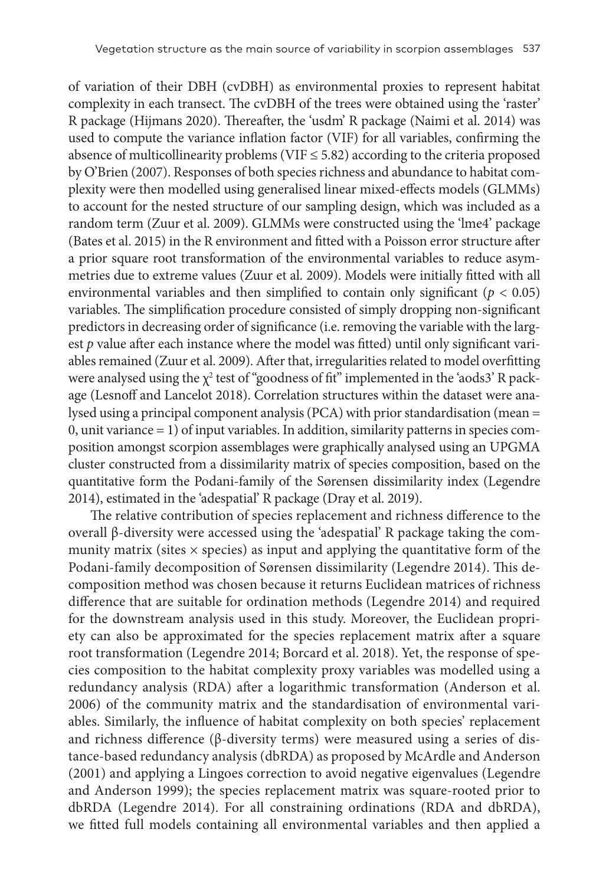of variation of their DBH (cvDBH) as environmental proxies to represent habitat complexity in each transect. The cvDBH of the trees were obtained using the 'raster' R package (Hijmans 2020). Thereafter, the 'usdm' R package (Naimi et al. 2014) was used to compute the variance inflation factor (VIF) for all variables, confirming the absence of multicollinearity problems (VIF  $\leq$  5.82) according to the criteria proposed by O'Brien (2007). Responses of both species richness and abundance to habitat complexity were then modelled using generalised linear mixed-effects models (GLMMs) to account for the nested structure of our sampling design, which was included as a random term (Zuur et al. 2009). GLMMs were constructed using the 'lme4' package (Bates et al. 2015) in the R environment and fitted with a Poisson error structure after a prior square root transformation of the environmental variables to reduce asymmetries due to extreme values (Zuur et al. 2009). Models were initially fitted with all environmental variables and then simplified to contain only significant ( $p < 0.05$ ) variables. The simplification procedure consisted of simply dropping non-significant predictors in decreasing order of significance (i.e. removing the variable with the largest *p* value after each instance where the model was fitted) until only significant variables remained (Zuur et al. 2009). After that, irregularities related to model overfitting were analysed using the  $\chi^2$  test of "goodness of fit" implemented in the 'aods3' R package (Lesnoff and Lancelot 2018). Correlation structures within the dataset were analysed using a principal component analysis (PCA) with prior standardisation (mean = 0, unit variance = 1) of input variables. In addition, similarity patterns in species composition amongst scorpion assemblages were graphically analysed using an UPGMA cluster constructed from a dissimilarity matrix of species composition, based on the quantitative form the Podani-family of the Sørensen dissimilarity index (Legendre 2014), estimated in the 'adespatial' R package (Dray et al. 2019).

The relative contribution of species replacement and richness difference to the overall β-diversity were accessed using the 'adespatial' R package taking the community matrix (sites  $\times$  species) as input and applying the quantitative form of the Podani-family decomposition of Sørensen dissimilarity (Legendre 2014). This decomposition method was chosen because it returns Euclidean matrices of richness difference that are suitable for ordination methods (Legendre 2014) and required for the downstream analysis used in this study. Moreover, the Euclidean propriety can also be approximated for the species replacement matrix after a square root transformation (Legendre 2014; Borcard et al. 2018). Yet, the response of species composition to the habitat complexity proxy variables was modelled using a redundancy analysis (RDA) after a logarithmic transformation (Anderson et al. 2006) of the community matrix and the standardisation of environmental variables. Similarly, the influence of habitat complexity on both species' replacement and richness difference (β-diversity terms) were measured using a series of distance-based redundancy analysis (dbRDA) as proposed by McArdle and Anderson (2001) and applying a Lingoes correction to avoid negative eigenvalues (Legendre and Anderson 1999); the species replacement matrix was square-rooted prior to dbRDA (Legendre 2014). For all constraining ordinations (RDA and dbRDA), we fitted full models containing all environmental variables and then applied a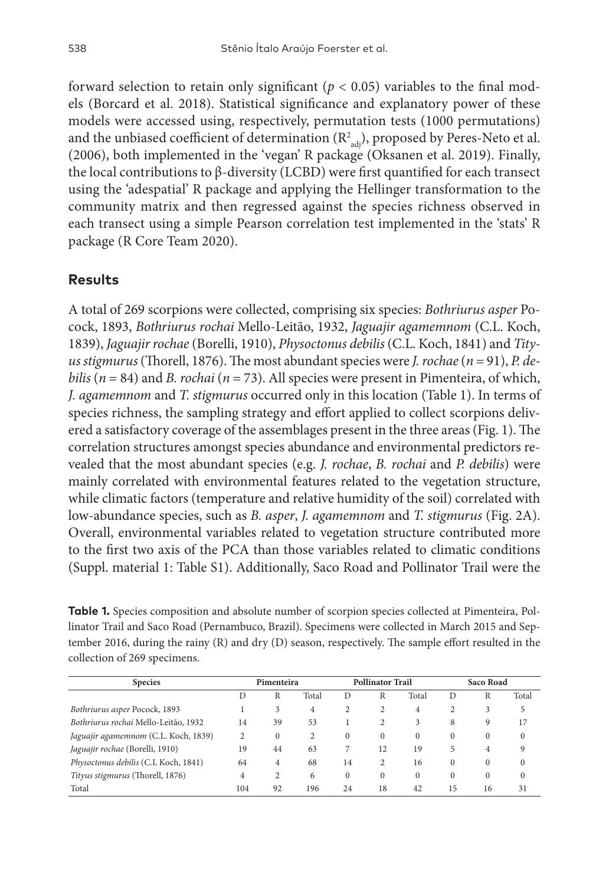forward selection to retain only significant ( $p < 0.05$ ) variables to the final models (Borcard et al. 2018). Statistical significance and explanatory power of these models were accessed using, respectively, permutation tests (1000 permutations) and the unbiased coefficient of determination  $(R^2_{\text{adj}})$ , proposed by Peres-Neto et al. (2006), both implemented in the 'vegan' R package (Oksanen et al. 2019). Finally, the local contributions to β-diversity (LCBD) were first quantified for each transect using the 'adespatial' R package and applying the Hellinger transformation to the community matrix and then regressed against the species richness observed in each transect using a simple Pearson correlation test implemented in the 'stats' R package (R Core Team 2020).

### **Results**

A total of 269 scorpions were collected, comprising six species: *Bothriurus asper* Pocock, 1893, *Bothriurus rochai* Mello-Leitão, 1932, *Jaguajir agamemnom* (C.L. Koch, 1839), *Jaguajir rochae* (Borelli, 1910), *Physoctonus debilis* (C.L. Koch, 1841) and *Tityus stigmurus* (Thorell, 1876). The most abundant species were *J. rochae* (*n* = 91), *P. debilis* ( $n = 84$ ) and *B. rochai* ( $n = 73$ ). All species were present in Pimenteira, of which, *J. agamemnom* and *T. stigmurus* occurred only in this location (Table 1). In terms of species richness, the sampling strategy and effort applied to collect scorpions delivered a satisfactory coverage of the assemblages present in the three areas (Fig. 1). The correlation structures amongst species abundance and environmental predictors revealed that the most abundant species (e.g. *J. rochae*, *B. rochai* and *P. debilis*) were mainly correlated with environmental features related to the vegetation structure, while climatic factors (temperature and relative humidity of the soil) correlated with low-abundance species, such as *B. asper*, *J. agamemnom* and *T. stigmurus* (Fig. 2A). Overall, environmental variables related to vegetation structure contributed more to the first two axis of the PCA than those variables related to climatic conditions (Suppl. material 1: Table S1). Additionally, Saco Road and Pollinator Trail were the

**Table 1.** Species composition and absolute number of scorpion species collected at Pimenteira, Pollinator Trail and Saco Road (Pernambuco, Brazil). Specimens were collected in March 2015 and September 2016, during the rainy (R) and dry (D) season, respectively. The sample effort resulted in the collection of 269 specimens.

| <b>Species</b>                       | Pimenteira |          |                | <b>Pollinator Trail</b> |          |                | Saco Road |                |              |
|--------------------------------------|------------|----------|----------------|-------------------------|----------|----------------|-----------|----------------|--------------|
|                                      | D          | R        | Total          | D                       | R        | Total          | D         | R              | Total        |
| Bothriurus asper Pocock, 1893        |            | 3        | $\overline{4}$ | 2                       | 2        | $\overline{4}$ |           | 3              | 5            |
| Bothriurus rochai Mello-Leitão, 1932 | 14         | 39       | 53             | 1                       | 2        | 3              | 8         | 9              | 17           |
| Jaguajir agamemnom (C.L. Koch, 1839) | 2          | $\Omega$ | 2              | $\Omega$                | $\Omega$ | $\Omega$       | 0         | $\Omega$       | $\mathbf{0}$ |
| Jaguajir rochae (Borelli, 1910)      | 19         | 44       | 63             | 7                       | 12       | 19             | 5         | $\overline{4}$ | 9            |
| Physoctonus debilis (C.L Koch, 1841) | 64         | 4        | 68             | 14                      | 2        | 16             | 0         | $\Omega$       | $\Omega$     |
| Tityus stigmurus (Thorell, 1876)     | 4          | 2        | 6              | $\mathbf{0}$            | $\Omega$ | $\Omega$       | $\Omega$  | $\Omega$       | $\mathbf{0}$ |
| Total                                | 104        | 92       | 196            | 24                      | 18       | 42             | 15        | 16             | 31           |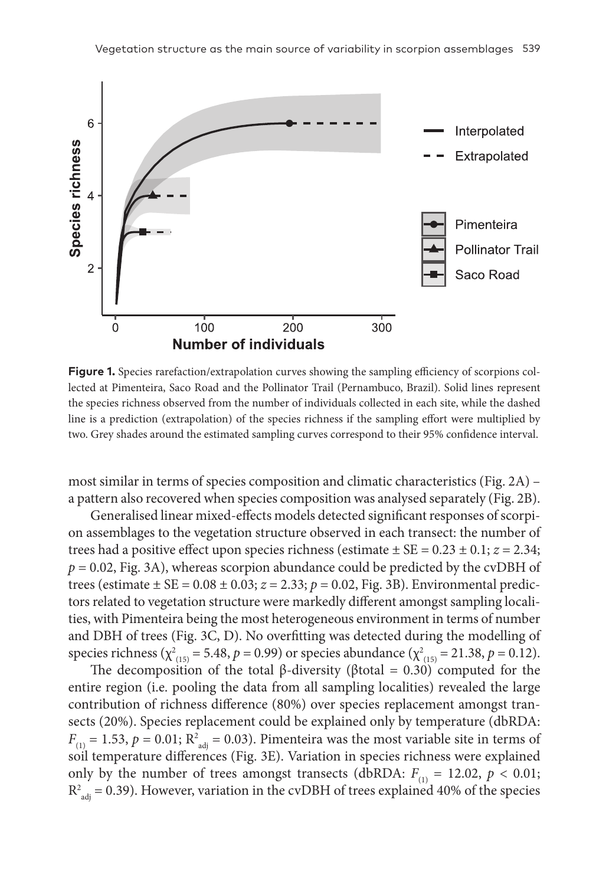

**Figure 1.** Species rarefaction/extrapolation curves showing the sampling efficiency of scorpions collected at Pimenteira, Saco Road and the Pollinator Trail (Pernambuco, Brazil). Solid lines represent the species richness observed from the number of individuals collected in each site, while the dashed line is a prediction (extrapolation) of the species richness if the sampling effort were multiplied by two. Grey shades around the estimated sampling curves correspond to their 95% confidence interval.

most similar in terms of species composition and climatic characteristics (Fig. 2A) – a pattern also recovered when species composition was analysed separately (Fig. 2B).

Generalised linear mixed-effects models detected significant responses of scorpion assemblages to the vegetation structure observed in each transect: the number of trees had a positive effect upon species richness (estimate ± SE = 0.23 ± 0.1; *z* = 2.34;  $p = 0.02$ , Fig. 3A), whereas scorpion abundance could be predicted by the cvDBH of trees (estimate  $\pm$  SE = 0.08  $\pm$  0.03;  $z = 2.33$ ;  $p = 0.02$ , Fig. 3B). Environmental predictors related to vegetation structure were markedly different amongst sampling localities, with Pimenteira being the most heterogeneous environment in terms of number and DBH of trees (Fig. 3C, D). No overfitting was detected during the modelling of species richness ( $\chi^2_{(15)} = 5.48$ ,  $p = 0.99$ ) or species abundance ( $\chi^2_{(15)} = 21.38$ ,  $p = 0.12$ ).

The decomposition of the total β-diversity (βtotal = 0.30) computed for the entire region (i.e. pooling the data from all sampling localities) revealed the large contribution of richness difference (80%) over species replacement amongst transects (20%). Species replacement could be explained only by temperature (dbRDA:  $F_{(1)} = 1.53$ ,  $p = 0.01$ ;  $R^2_{adj} = 0.03$ ). Pimenteira was the most variable site in terms of soil temperature differences (Fig. 3E). Variation in species richness were explained only by the number of trees amongst transects (dbRDA:  $F_{(1)} = 12.02$ ,  $p < 0.01$ ;  $R^2_{\text{adj}}$  = 0.39). However, variation in the cvDBH of trees explained 40% of the species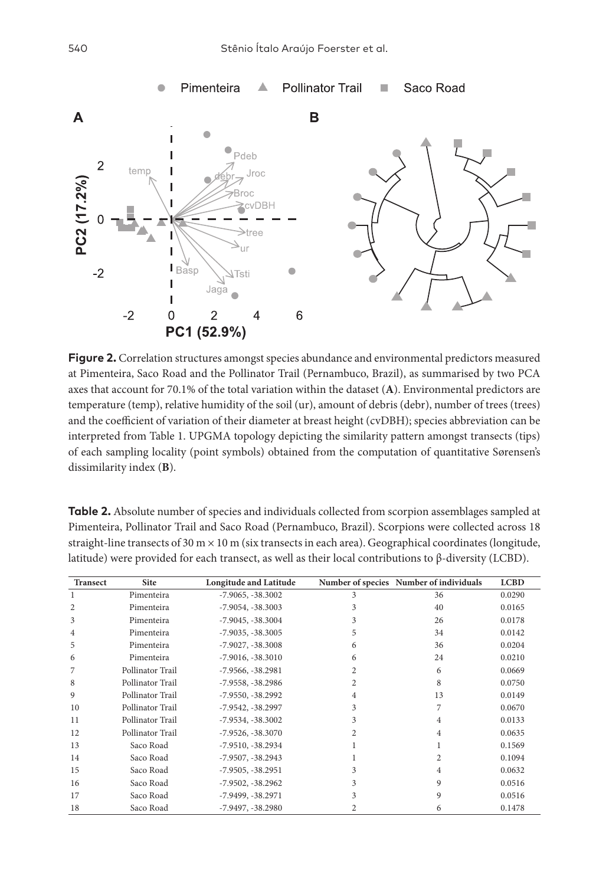

**Figure 2.** Correlation structures amongst species abundance and environmental predictors measured at Pimenteira, Saco Road and the Pollinator Trail (Pernambuco, Brazil), as summarised by two PCA axes that account for 70.1% of the total variation within the dataset (**A**). Environmental predictors are temperature (temp), relative humidity of the soil (ur), amount of debris (debr), number of trees (trees) and the coefficient of variation of their diameter at breast height (cvDBH); species abbreviation can be interpreted from Table 1. UPGMA topology depicting the similarity pattern amongst transects (tips) of each sampling locality (point symbols) obtained from the computation of quantitative Sørensen's dissimilarity index (**B**).

**Table 2.** Absolute number of species and individuals collected from scorpion assemblages sampled at Pimenteira, Pollinator Trail and Saco Road (Pernambuco, Brazil). Scorpions were collected across 18 straight-line transects of 30 m  $\times$  10 m (six transects in each area). Geographical coordinates (longitude, latitude) were provided for each transect, as well as their local contributions to β-diversity (LCBD).

| <b>Transect</b> | <b>Site</b>      | <b>Longitude and Latitude</b> |   | Number of species Number of individuals | <b>LCBD</b> |
|-----------------|------------------|-------------------------------|---|-----------------------------------------|-------------|
| 1               | Pimenteira       | $-7.9065, -38.3002$           | 3 | 36                                      | 0.0290      |
| 2               | Pimenteira       | $-7.9054, -38.3003$           | 3 | 40                                      | 0.0165      |
| 3               | Pimenteira       | $-7.9045, -38.3004$           | 3 | 26                                      | 0.0178      |
| 4               | Pimenteira       | $-7.9035, -38.3005$           | 5 | 34                                      | 0.0142      |
| 5               | Pimenteira       | $-7.9027, -38.3008$           | 6 | 36                                      | 0.0204      |
| 6               | Pimenteira       | $-7.9016, -38.3010$           | 6 | 24                                      | 0.0210      |
| 7               | Pollinator Trail | $-7.9566, -38.2981$           | 2 | 6                                       | 0.0669      |
| 8               | Pollinator Trail | $-7.9558, -38.2986$           | 2 | 8                                       | 0.0750      |
| 9               | Pollinator Trail | $-7.9550, -38.2992$           | 4 | 13                                      | 0.0149      |
| 10              | Pollinator Trail | $-7.9542, -38.2997$           | 3 | 7                                       | 0.0670      |
| 11              | Pollinator Trail | $-7.9534, -38.3002$           | 3 | 4                                       | 0.0133      |
| 12              | Pollinator Trail | $-7.9526, -38.3070$           | 2 | 4                                       | 0.0635      |
| 13              | Saco Road        | $-7.9510, -38.2934$           |   |                                         | 0.1569      |
| 14              | Saco Road        | $-7.9507, -38.2943$           |   | 2                                       | 0.1094      |
| 15              | Saco Road        | $-7.9505, -38.2951$           | 3 | 4                                       | 0.0632      |
| 16              | Saco Road        | $-7.9502, -38.2962$           | 3 | 9                                       | 0.0516      |
| 17              | Saco Road        | $-7.9499, -38.2971$           | 3 | 9                                       | 0.0516      |
| 18              | Saco Road        | $-7.9497, -38.2980$           |   | 6                                       | 0.1478      |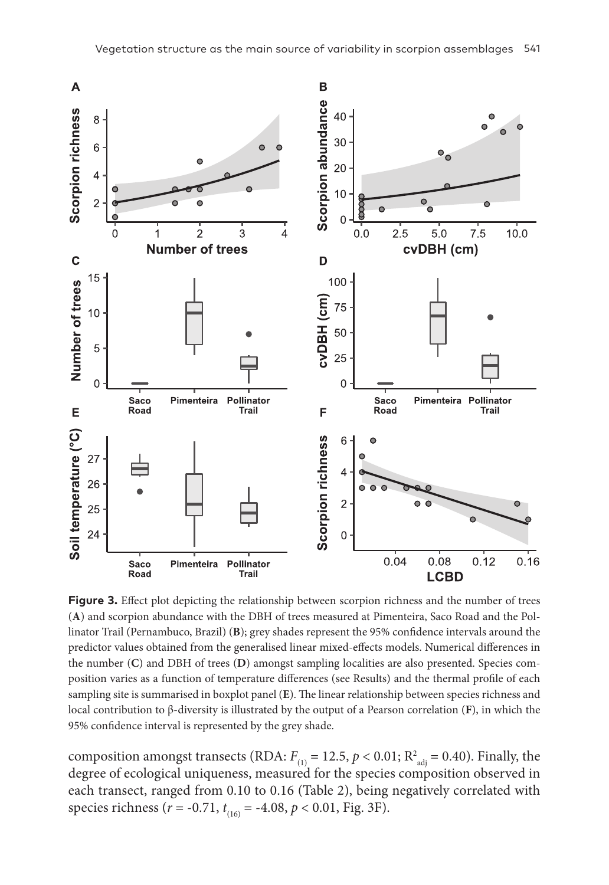

**Figure 3.** Effect plot depicting the relationship between scorpion richness and the number of trees (**A**) and scorpion abundance with the DBH of trees measured at Pimenteira, Saco Road and the Pollinator Trail (Pernambuco, Brazil) (**B**); grey shades represent the 95% confidence intervals around the predictor values obtained from the generalised linear mixed-effects models. Numerical differences in the number (**C**) and DBH of trees (**D**) amongst sampling localities are also presented. Species composition varies as a function of temperature differences (see Results) and the thermal profile of each sampling site is summarised in boxplot panel (**E**). The linear relationship between species richness and local contribution to β-diversity is illustrated by the output of a Pearson correlation (**F**), in which the 95% confidence interval is represented by the grey shade.

composition amongst transects (RDA:  $F_{(1)} = 12.5$ ,  $p < 0.01$ ;  $R^2_{adj} = 0.40$ ). Finally, the degree of ecological uniqueness, measured for the species composition observed in each transect, ranged from 0.10 to 0.16 (Table 2), being negatively correlated with species richness (*r* = -0.71, *t* (16) = -4.08, *p* < 0.01, Fig. 3F).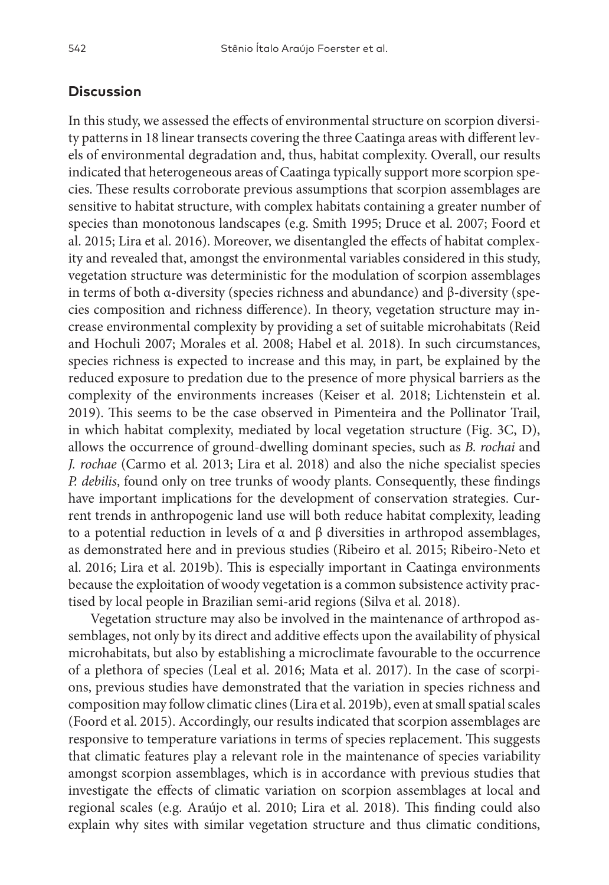#### **Discussion**

In this study, we assessed the effects of environmental structure on scorpion diversity patterns in 18 linear transects covering the three Caatinga areas with different levels of environmental degradation and, thus, habitat complexity. Overall, our results indicated that heterogeneous areas of Caatinga typically support more scorpion species. These results corroborate previous assumptions that scorpion assemblages are sensitive to habitat structure, with complex habitats containing a greater number of species than monotonous landscapes (e.g. Smith 1995; Druce et al. 2007; Foord et al. 2015; Lira et al. 2016). Moreover, we disentangled the effects of habitat complexity and revealed that, amongst the environmental variables considered in this study, vegetation structure was deterministic for the modulation of scorpion assemblages in terms of both α-diversity (species richness and abundance) and β-diversity (species composition and richness difference). In theory, vegetation structure may increase environmental complexity by providing a set of suitable microhabitats (Reid and Hochuli 2007; Morales et al. 2008; Habel et al. 2018). In such circumstances, species richness is expected to increase and this may, in part, be explained by the reduced exposure to predation due to the presence of more physical barriers as the complexity of the environments increases (Keiser et al. 2018; Lichtenstein et al. 2019). This seems to be the case observed in Pimenteira and the Pollinator Trail, in which habitat complexity, mediated by local vegetation structure (Fig. 3C, D), allows the occurrence of ground-dwelling dominant species, such as *B. rochai* and *J. rochae* (Carmo et al. 2013; Lira et al. 2018) and also the niche specialist species *P. debilis*, found only on tree trunks of woody plants. Consequently, these findings have important implications for the development of conservation strategies. Current trends in anthropogenic land use will both reduce habitat complexity, leading to a potential reduction in levels of α and β diversities in arthropod assemblages, as demonstrated here and in previous studies (Ribeiro et al. 2015; Ribeiro-Neto et al. 2016; Lira et al. 2019b). This is especially important in Caatinga environments because the exploitation of woody vegetation is a common subsistence activity practised by local people in Brazilian semi-arid regions (Silva et al. 2018).

Vegetation structure may also be involved in the maintenance of arthropod assemblages, not only by its direct and additive effects upon the availability of physical microhabitats, but also by establishing a microclimate favourable to the occurrence of a plethora of species (Leal et al. 2016; Mata et al. 2017). In the case of scorpions, previous studies have demonstrated that the variation in species richness and composition may follow climatic clines (Lira et al. 2019b), even at small spatial scales (Foord et al. 2015). Accordingly, our results indicated that scorpion assemblages are responsive to temperature variations in terms of species replacement. This suggests that climatic features play a relevant role in the maintenance of species variability amongst scorpion assemblages, which is in accordance with previous studies that investigate the effects of climatic variation on scorpion assemblages at local and regional scales (e.g. Araújo et al. 2010; Lira et al. 2018). This finding could also explain why sites with similar vegetation structure and thus climatic conditions,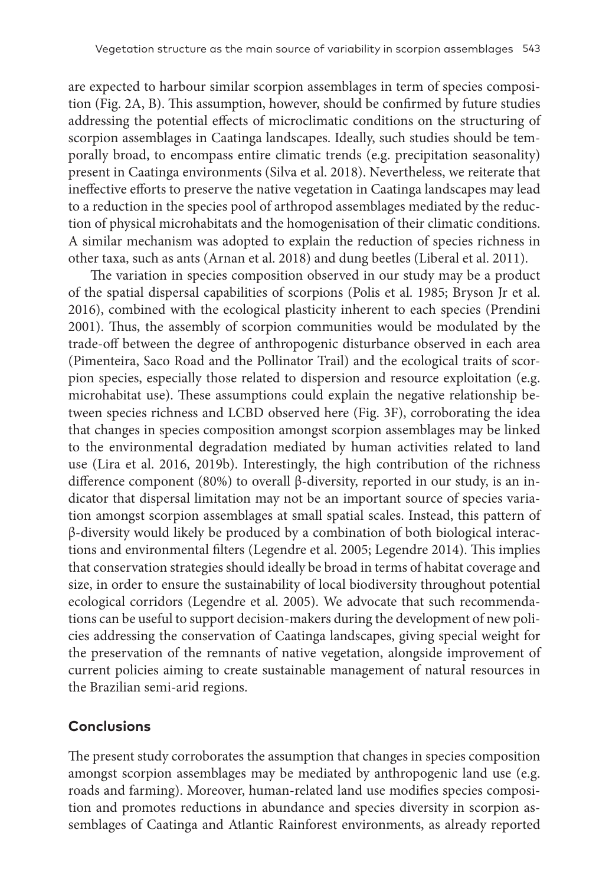are expected to harbour similar scorpion assemblages in term of species composition (Fig. 2A, B). This assumption, however, should be confirmed by future studies addressing the potential effects of microclimatic conditions on the structuring of scorpion assemblages in Caatinga landscapes. Ideally, such studies should be temporally broad, to encompass entire climatic trends (e.g. precipitation seasonality) present in Caatinga environments (Silva et al. 2018). Nevertheless, we reiterate that ineffective efforts to preserve the native vegetation in Caatinga landscapes may lead to a reduction in the species pool of arthropod assemblages mediated by the reduction of physical microhabitats and the homogenisation of their climatic conditions. A similar mechanism was adopted to explain the reduction of species richness in other taxa, such as ants (Arnan et al. 2018) and dung beetles (Liberal et al. 2011).

The variation in species composition observed in our study may be a product of the spatial dispersal capabilities of scorpions (Polis et al. 1985; Bryson Jr et al. 2016), combined with the ecological plasticity inherent to each species (Prendini 2001). Thus, the assembly of scorpion communities would be modulated by the trade-off between the degree of anthropogenic disturbance observed in each area (Pimenteira, Saco Road and the Pollinator Trail) and the ecological traits of scorpion species, especially those related to dispersion and resource exploitation (e.g. microhabitat use). These assumptions could explain the negative relationship between species richness and LCBD observed here (Fig. 3F), corroborating the idea that changes in species composition amongst scorpion assemblages may be linked to the environmental degradation mediated by human activities related to land use (Lira et al. 2016, 2019b). Interestingly, the high contribution of the richness difference component (80%) to overall β-diversity, reported in our study, is an indicator that dispersal limitation may not be an important source of species variation amongst scorpion assemblages at small spatial scales. Instead, this pattern of β-diversity would likely be produced by a combination of both biological interactions and environmental filters (Legendre et al. 2005; Legendre 2014). This implies that conservation strategies should ideally be broad in terms of habitat coverage and size, in order to ensure the sustainability of local biodiversity throughout potential ecological corridors (Legendre et al. 2005). We advocate that such recommendations can be useful to support decision-makers during the development of new policies addressing the conservation of Caatinga landscapes, giving special weight for the preservation of the remnants of native vegetation, alongside improvement of current policies aiming to create sustainable management of natural resources in the Brazilian semi-arid regions.

#### **Conclusions**

The present study corroborates the assumption that changes in species composition amongst scorpion assemblages may be mediated by anthropogenic land use (e.g. roads and farming). Moreover, human-related land use modifies species composition and promotes reductions in abundance and species diversity in scorpion assemblages of Caatinga and Atlantic Rainforest environments, as already reported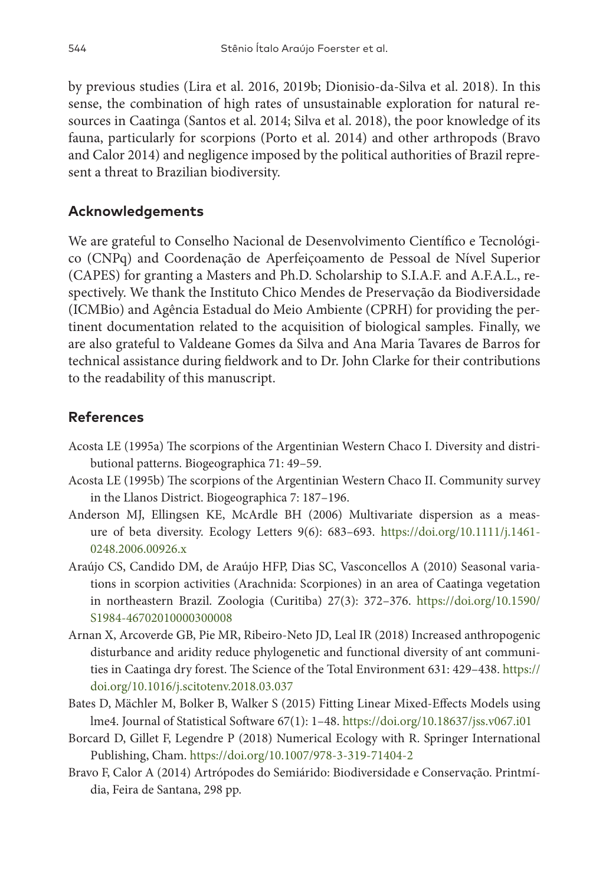by previous studies (Lira et al. 2016, 2019b; Dionisio-da-Silva et al. 2018). In this sense, the combination of high rates of unsustainable exploration for natural resources in Caatinga (Santos et al. 2014; Silva et al. 2018), the poor knowledge of its fauna, particularly for scorpions (Porto et al. 2014) and other arthropods (Bravo and Calor 2014) and negligence imposed by the political authorities of Brazil represent a threat to Brazilian biodiversity.

## **Acknowledgements**

We are grateful to Conselho Nacional de Desenvolvimento Científico e Tecnológico (CNPq) and Coordenação de Aperfeiçoamento de Pessoal de Nível Superior (CAPES) for granting a Masters and Ph.D. Scholarship to S.I.A.F. and A.F.A.L., respectively. We thank the Instituto Chico Mendes de Preservação da Biodiversidade (ICMBio) and Agência Estadual do Meio Ambiente (CPRH) for providing the pertinent documentation related to the acquisition of biological samples. Finally, we are also grateful to Valdeane Gomes da Silva and Ana Maria Tavares de Barros for technical assistance during fieldwork and to Dr. John Clarke for their contributions to the readability of this manuscript.

# **References**

- Acosta LE (1995a) The scorpions of the Argentinian Western Chaco I. Diversity and distributional patterns. Biogeographica 71: 49–59.
- Acosta LE (1995b) The scorpions of the Argentinian Western Chaco II. Community survey in the Llanos District. Biogeographica 7: 187–196.
- Anderson MJ, Ellingsen KE, McArdle BH (2006) Multivariate dispersion as a measure of beta diversity. Ecology Letters 9(6): 683–693. [https://doi.org/10.1111/j.1461-](https://doi.org/10.1111/j.1461-0248.2006.00926.x) [0248.2006.00926.x](https://doi.org/10.1111/j.1461-0248.2006.00926.x)
- Araújo CS, Candido DM, de Araújo HFP, Dias SC, Vasconcellos A (2010) Seasonal variations in scorpion activities (Arachnida: Scorpiones) in an area of Caatinga vegetation in northeastern Brazil. Zoologia (Curitiba) 27(3): 372–376. [https://doi.org/10.1590/](https://doi.org/10.1590/S1984-46702010000300008) [S1984-46702010000300008](https://doi.org/10.1590/S1984-46702010000300008)
- Arnan X, Arcoverde GB, Pie MR, Ribeiro-Neto JD, Leal IR (2018) Increased anthropogenic disturbance and aridity reduce phylogenetic and functional diversity of ant communities in Caatinga dry forest. The Science of the Total Environment 631: 429–438. [https://](https://doi.org/10.1016/j.scitotenv.2018.03.037) [doi.org/10.1016/j.scitotenv.2018.03.037](https://doi.org/10.1016/j.scitotenv.2018.03.037)
- Bates D, Mächler M, Bolker B, Walker S (2015) Fitting Linear Mixed-Effects Models using lme4. Journal of Statistical Software 67(1): 1–48.<https://doi.org/10.18637/jss.v067.i01>
- Borcard D, Gillet F, Legendre P (2018) Numerical Ecology with R. Springer International Publishing, Cham. <https://doi.org/10.1007/978-3-319-71404-2>
- Bravo F, Calor A (2014) Artrópodes do Semiárido: Biodiversidade e Conservação. Printmídia, Feira de Santana, 298 pp.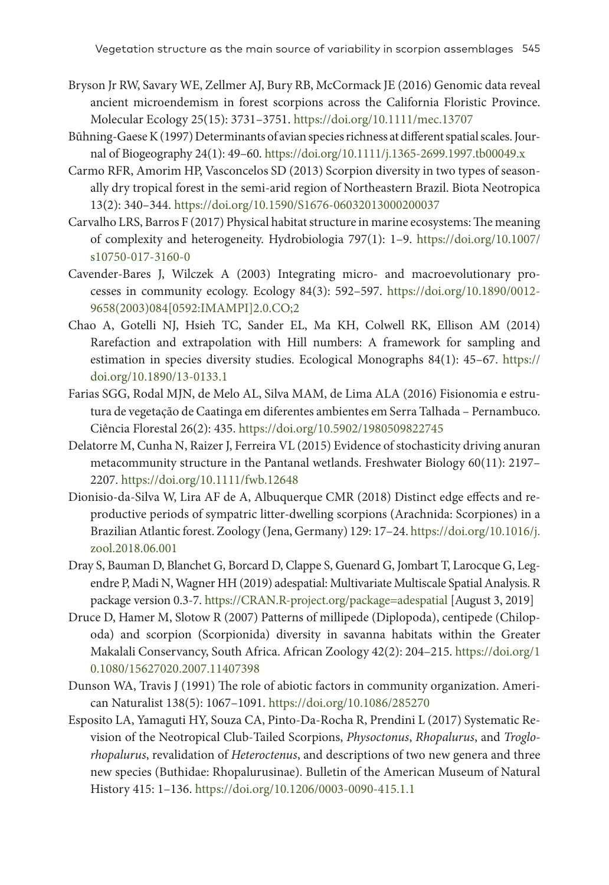- Bryson Jr RW, Savary WE, Zellmer AJ, Bury RB, McCormack JE (2016) Genomic data reveal ancient microendemism in forest scorpions across the California Floristic Province. Molecular Ecology 25(15): 3731–3751. <https://doi.org/10.1111/mec.13707>
- Būhning-Gaese K (1997) Determinants of avian species richness at different spatial scales. Journal of Biogeography 24(1): 49–60.<https://doi.org/10.1111/j.1365-2699.1997.tb00049.x>
- Carmo RFR, Amorim HP, Vasconcelos SD (2013) Scorpion diversity in two types of seasonally dry tropical forest in the semi-arid region of Northeastern Brazil. Biota Neotropica 13(2): 340–344. <https://doi.org/10.1590/S1676-06032013000200037>
- Carvalho LRS, Barros F (2017) Physical habitat structure in marine ecosystems: The meaning of complexity and heterogeneity. Hydrobiologia 797(1): 1–9. [https://doi.org/10.1007/](https://doi.org/10.1007/s10750-017-3160-0) [s10750-017-3160-0](https://doi.org/10.1007/s10750-017-3160-0)
- Cavender-Bares J, Wilczek A (2003) Integrating micro- and macroevolutionary processes in community ecology. Ecology 84(3): 592–597. [https://doi.org/10.1890/0012-](https://doi.org/10.1890/0012-9658(2003)084%5B0592:IMAMPI%5D2.0.CO;2) [9658\(2003\)084\[0592:IMAMPI\]2.0.CO;2](https://doi.org/10.1890/0012-9658(2003)084%5B0592:IMAMPI%5D2.0.CO;2)
- Chao A, Gotelli NJ, Hsieh TC, Sander EL, Ma KH, Colwell RK, Ellison AM (2014) Rarefaction and extrapolation with Hill numbers: A framework for sampling and estimation in species diversity studies. Ecological Monographs 84(1): 45–67. [https://](https://doi.org/10.1890/13-0133.1) [doi.org/10.1890/13-0133.1](https://doi.org/10.1890/13-0133.1)
- Farias SGG, Rodal MJN, de Melo AL, Silva MAM, de Lima ALA (2016) Fisionomia e estrutura de vegetação de Caatinga em diferentes ambientes em Serra Talhada – Pernambuco. Ciência Florestal 26(2): 435.<https://doi.org/10.5902/1980509822745>
- Delatorre M, Cunha N, Raizer J, Ferreira VL (2015) Evidence of stochasticity driving anuran metacommunity structure in the Pantanal wetlands. Freshwater Biology 60(11): 2197– 2207.<https://doi.org/10.1111/fwb.12648>
- Dionisio-da-Silva W, Lira AF de A, Albuquerque CMR (2018) Distinct edge effects and reproductive periods of sympatric litter-dwelling scorpions (Arachnida: Scorpiones) in a Brazilian Atlantic forest. Zoology (Jena, Germany) 129: 17–24. [https://doi.org/10.1016/j.](https://doi.org/10.1016/j.zool.2018.06.001) [zool.2018.06.001](https://doi.org/10.1016/j.zool.2018.06.001)
- Dray S, Bauman D, Blanchet G, Borcard D, Clappe S, Guenard G, Jombart T, Larocque G, Legendre P, Madi N, Wagner HH (2019) adespatial: Multivariate Multiscale Spatial Analysis. R package version 0.3-7.<https://CRAN.R-project.org/package=adespatial> [August 3, 2019]
- Druce D, Hamer M, Slotow R (2007) Patterns of millipede (Diplopoda), centipede (Chilopoda) and scorpion (Scorpionida) diversity in savanna habitats within the Greater Makalali Conservancy, South Africa. African Zoology 42(2): 204–215. [https://doi.org/1](https://doi.org/10.1080/15627020.2007.11407398) [0.1080/15627020.2007.11407398](https://doi.org/10.1080/15627020.2007.11407398)
- Dunson WA, Travis J (1991) The role of abiotic factors in community organization. American Naturalist 138(5): 1067–1091.<https://doi.org/10.1086/285270>
- Esposito LA, Yamaguti HY, Souza CA, Pinto-Da-Rocha R, Prendini L (2017) Systematic Revision of the Neotropical Club-Tailed Scorpions, *Physoctonus*, *Rhopalurus*, and *Troglorhopalurus*, revalidation of *Heteroctenus*, and descriptions of two new genera and three new species (Buthidae: Rhopalurusinae). Bulletin of the American Museum of Natural History 415: 1–136. <https://doi.org/10.1206/0003-0090-415.1.1>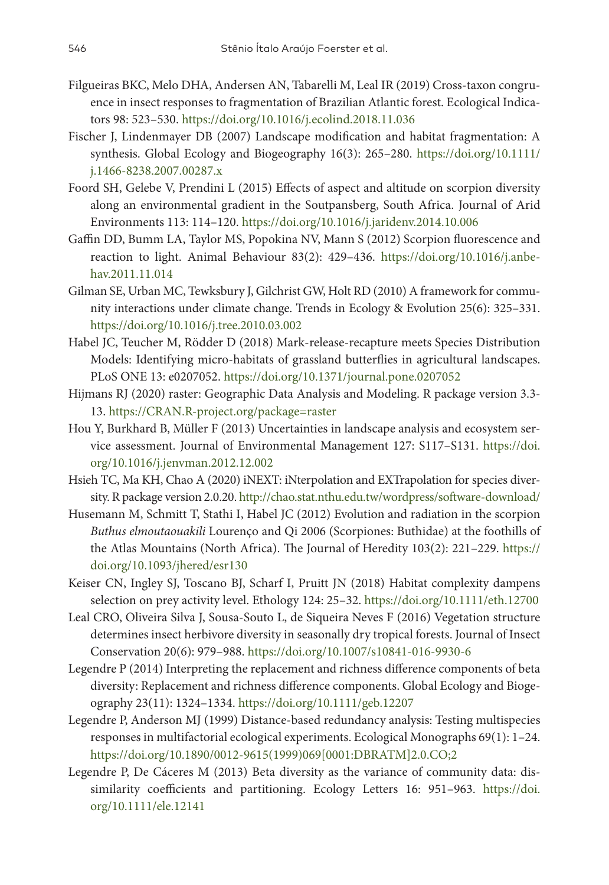- Filgueiras BKC, Melo DHA, Andersen AN, Tabarelli M, Leal IR (2019) Cross-taxon congruence in insect responses to fragmentation of Brazilian Atlantic forest. Ecological Indicators 98: 523–530. <https://doi.org/10.1016/j.ecolind.2018.11.036>
- Fischer J, Lindenmayer DB (2007) Landscape modification and habitat fragmentation: A synthesis. Global Ecology and Biogeography 16(3): 265–280. [https://doi.org/10.1111/](https://doi.org/10.1111/j.1466-8238.2007.00287.x) [j.1466-8238.2007.00287.x](https://doi.org/10.1111/j.1466-8238.2007.00287.x)
- Foord SH, Gelebe V, Prendini L (2015) Effects of aspect and altitude on scorpion diversity along an environmental gradient in the Soutpansberg, South Africa. Journal of Arid Environments 113: 114–120. <https://doi.org/10.1016/j.jaridenv.2014.10.006>
- Gaffin DD, Bumm LA, Taylor MS, Popokina NV, Mann S (2012) Scorpion fluorescence and reaction to light. Animal Behaviour 83(2): 429–436. [https://doi.org/10.1016/j.anbe](https://doi.org/10.1016/j.anbehav.2011.11.014)[hav.2011.11.014](https://doi.org/10.1016/j.anbehav.2011.11.014)
- Gilman SE, Urban MC, Tewksbury J, Gilchrist GW, Holt RD (2010) A framework for community interactions under climate change. Trends in Ecology & Evolution 25(6): 325–331. <https://doi.org/10.1016/j.tree.2010.03.002>
- Habel JC, Teucher M, Rödder D (2018) Mark-release-recapture meets Species Distribution Models: Identifying micro-habitats of grassland butterflies in agricultural landscapes. PLoS ONE 13: e0207052. <https://doi.org/10.1371/journal.pone.0207052>
- Hijmans RJ (2020) raster: Geographic Data Analysis and Modeling. R package version 3.3- 13. <https://CRAN.R-project.org/package=raster>
- Hou Y, Burkhard B, Müller F (2013) Uncertainties in landscape analysis and ecosystem service assessment. Journal of Environmental Management 127: S117–S131. [https://doi.](https://doi.org/10.1016/j.jenvman.2012.12.002) [org/10.1016/j.jenvman.2012.12.002](https://doi.org/10.1016/j.jenvman.2012.12.002)
- Hsieh TC, Ma KH, Chao A (2020) iNEXT: iNterpolation and EXTrapolation for species diversity. R package version 2.0.20.<http://chao.stat.nthu.edu.tw/wordpress/software-download/>
- Husemann M, Schmitt T, Stathi I, Habel JC (2012) Evolution and radiation in the scorpion *Buthus elmoutaouakili* Lourenço and Qi 2006 (Scorpiones: Buthidae) at the foothills of the Atlas Mountains (North Africa). The Journal of Heredity 103(2): 221–229. [https://](https://doi.org/10.1093/jhered/esr130) [doi.org/10.1093/jhered/esr130](https://doi.org/10.1093/jhered/esr130)
- Keiser CN, Ingley SJ, Toscano BJ, Scharf I, Pruitt JN (2018) Habitat complexity dampens selection on prey activity level. Ethology 124: 25–32.<https://doi.org/10.1111/eth.12700>
- Leal CRO, Oliveira Silva J, Sousa-Souto L, de Siqueira Neves F (2016) Vegetation structure determines insect herbivore diversity in seasonally dry tropical forests. Journal of Insect Conservation 20(6): 979–988.<https://doi.org/10.1007/s10841-016-9930-6>
- Legendre P (2014) Interpreting the replacement and richness difference components of beta diversity: Replacement and richness difference components. Global Ecology and Biogeography 23(11): 1324–1334.<https://doi.org/10.1111/geb.12207>
- Legendre P, Anderson MJ (1999) Distance-based redundancy analysis: Testing multispecies responses in multifactorial ecological experiments. Ecological Monographs 69(1): 1–24. [https://doi.org/10.1890/0012-9615\(1999\)069\[0001:DBRATM\]2.0.CO;2](https://doi.org/10.1890/0012-9615(1999)069%5B0001:DBRATM%5D2.0.CO;2)
- Legendre P, De Cáceres M (2013) Beta diversity as the variance of community data: dissimilarity coefficients and partitioning. Ecology Letters 16: 951–963. [https://doi.](https://doi.org/10.1111/ele.12141) [org/10.1111/ele.12141](https://doi.org/10.1111/ele.12141)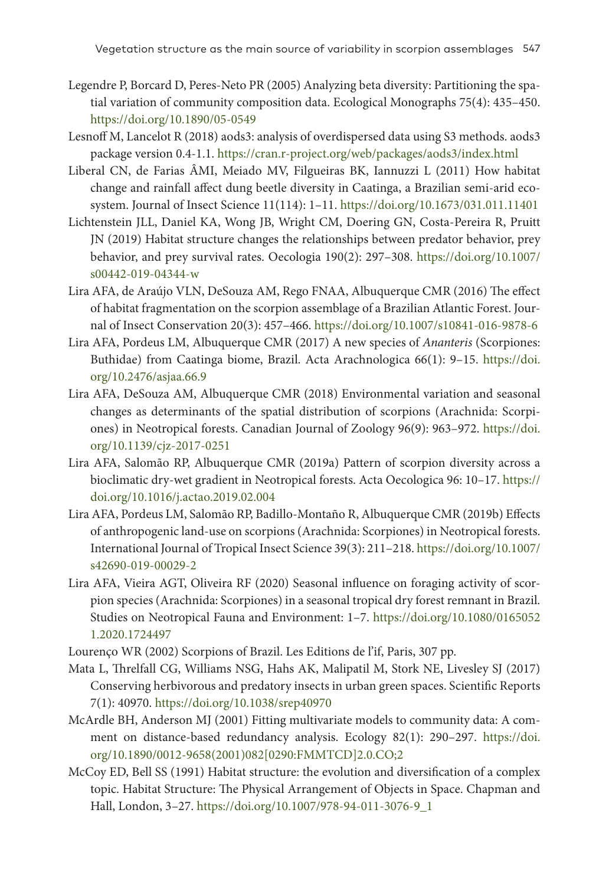- Legendre P, Borcard D, Peres-Neto PR (2005) Analyzing beta diversity: Partitioning the spatial variation of community composition data. Ecological Monographs 75(4): 435–450. <https://doi.org/10.1890/05-0549>
- Lesnoff M, Lancelot R (2018) aods3: analysis of overdispersed data using S3 methods. aods3 package version 0.4-1.1.<https://cran.r-project.org/web/packages/aods3/index.html>
- Liberal CN, de Farias ÂMI, Meiado MV, Filgueiras BK, Iannuzzi L (2011) How habitat change and rainfall affect dung beetle diversity in Caatinga, a Brazilian semi-arid ecosystem. Journal of Insect Science 11(114): 1–11.<https://doi.org/10.1673/031.011.11401>
- Lichtenstein JLL, Daniel KA, Wong JB, Wright CM, Doering GN, Costa-Pereira R, Pruitt JN (2019) Habitat structure changes the relationships between predator behavior, prey behavior, and prey survival rates. Oecologia 190(2): 297–308. [https://doi.org/10.1007/](https://doi.org/10.1007/s00442-019-04344-w) [s00442-019-04344-w](https://doi.org/10.1007/s00442-019-04344-w)
- Lira AFA, de Araújo VLN, DeSouza AM, Rego FNAA, Albuquerque CMR (2016) The effect of habitat fragmentation on the scorpion assemblage of a Brazilian Atlantic Forest. Journal of Insect Conservation 20(3): 457–466. <https://doi.org/10.1007/s10841-016-9878-6>
- Lira AFA, Pordeus LM, Albuquerque CMR (2017) A new species of *Ananteris* (Scorpiones: Buthidae) from Caatinga biome, Brazil. Acta Arachnologica 66(1): 9–15. [https://doi.](https://doi.org/10.2476/asjaa.66.9) [org/10.2476/asjaa.66.9](https://doi.org/10.2476/asjaa.66.9)
- Lira AFA, DeSouza AM, Albuquerque CMR (2018) Environmental variation and seasonal changes as determinants of the spatial distribution of scorpions (Arachnida: Scorpiones) in Neotropical forests. Canadian Journal of Zoology 96(9): 963–972. [https://doi.](https://doi.org/10.1139/cjz-2017-0251) [org/10.1139/cjz-2017-0251](https://doi.org/10.1139/cjz-2017-0251)
- Lira AFA, Salomão RP, Albuquerque CMR (2019a) Pattern of scorpion diversity across a bioclimatic dry-wet gradient in Neotropical forests. Acta Oecologica 96: 10–17. [https://](https://doi.org/10.1016/j.actao.2019.02.004) [doi.org/10.1016/j.actao.2019.02.004](https://doi.org/10.1016/j.actao.2019.02.004)
- Lira AFA, Pordeus LM, Salomão RP, Badillo-Montaño R, Albuquerque CMR (2019b) Effects of anthropogenic land-use on scorpions (Arachnida: Scorpiones) in Neotropical forests. International Journal of Tropical Insect Science 39(3): 211–218. [https://doi.org/10.1007/](https://doi.org/10.1007/s42690-019-00029-2) [s42690-019-00029-2](https://doi.org/10.1007/s42690-019-00029-2)
- Lira AFA, Vieira AGT, Oliveira RF (2020) Seasonal influence on foraging activity of scorpion species (Arachnida: Scorpiones) in a seasonal tropical dry forest remnant in Brazil. Studies on Neotropical Fauna and Environment: 1–7. [https://doi.org/10.1080/0165052](https://doi.org/10.1080/01650521.2020.1724497) [1.2020.1724497](https://doi.org/10.1080/01650521.2020.1724497)
- Lourenço WR (2002) Scorpions of Brazil. Les Editions de l'if, Paris, 307 pp.
- Mata L, Threlfall CG, Williams NSG, Hahs AK, Malipatil M, Stork NE, Livesley SJ (2017) Conserving herbivorous and predatory insects in urban green spaces. Scientific Reports 7(1): 40970.<https://doi.org/10.1038/srep40970>
- McArdle BH, Anderson MJ (2001) Fitting multivariate models to community data: A comment on distance-based redundancy analysis. Ecology 82(1): 290–297. [https://doi.](https://doi.org/10.1890/0012-9658(2001)082%5B0290:FMMTCD%5D2.0.CO;2) [org/10.1890/0012-9658\(2001\)082\[0290:FMMTCD\]2.0.CO;2](https://doi.org/10.1890/0012-9658(2001)082%5B0290:FMMTCD%5D2.0.CO;2)
- McCoy ED, Bell SS (1991) Habitat structure: the evolution and diversification of a complex topic. Habitat Structure: The Physical Arrangement of Objects in Space. Chapman and Hall, London, 3–27. [https://doi.org/10.1007/978-94-011-3076-9\\_1](https://doi.org/10.1007/978-94-011-3076-9_1)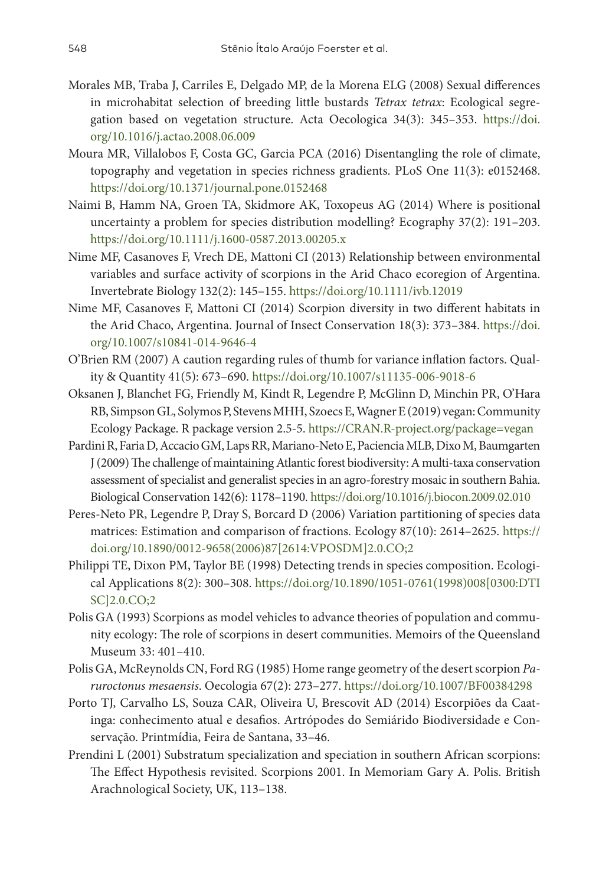- Morales MB, Traba J, Carriles E, Delgado MP, de la Morena ELG (2008) Sexual differences in microhabitat selection of breeding little bustards *Tetrax tetrax*: Ecological segregation based on vegetation structure. Acta Oecologica 34(3): 345–353. [https://doi.](https://doi.org/10.1016/j.actao.2008.06.009) [org/10.1016/j.actao.2008.06.009](https://doi.org/10.1016/j.actao.2008.06.009)
- Moura MR, Villalobos F, Costa GC, Garcia PCA (2016) Disentangling the role of climate, topography and vegetation in species richness gradients. PLoS One 11(3): e0152468. <https://doi.org/10.1371/journal.pone.0152468>
- Naimi B, Hamm NA, Groen TA, Skidmore AK, Toxopeus AG (2014) Where is positional uncertainty a problem for species distribution modelling? Ecography 37(2): 191–203. <https://doi.org/10.1111/j.1600-0587.2013.00205.x>
- Nime MF, Casanoves F, Vrech DE, Mattoni CI (2013) Relationship between environmental variables and surface activity of scorpions in the Arid Chaco ecoregion of Argentina. Invertebrate Biology 132(2): 145–155.<https://doi.org/10.1111/ivb.12019>
- Nime MF, Casanoves F, Mattoni CI (2014) Scorpion diversity in two different habitats in the Arid Chaco, Argentina. Journal of Insect Conservation 18(3): 373–384. [https://doi.](https://doi.org/10.1007/s10841-014-9646-4) [org/10.1007/s10841-014-9646-4](https://doi.org/10.1007/s10841-014-9646-4)
- O'Brien RM (2007) A caution regarding rules of thumb for variance inflation factors. Quality & Quantity 41(5): 673–690. <https://doi.org/10.1007/s11135-006-9018-6>
- Oksanen J, Blanchet FG, Friendly M, Kindt R, Legendre P, McGlinn D, Minchin PR, O'Hara RB, Simpson GL, Solymos P, Stevens MHH, Szoecs E, Wagner E (2019) vegan: Community Ecology Package. R package version 2.5-5.<https://CRAN.R-project.org/package=vegan>
- Pardini R, Faria D, Accacio GM, Laps RR, Mariano-Neto E, Paciencia MLB, Dixo M, Baumgarten J (2009) The challenge of maintaining Atlantic forest biodiversity: A multi-taxa conservation assessment of specialist and generalist species in an agro-forestry mosaic in southern Bahia. Biological Conservation 142(6): 1178–1190. <https://doi.org/10.1016/j.biocon.2009.02.010>
- Peres-Neto PR, Legendre P, Dray S, Borcard D (2006) Variation partitioning of species data matrices: Estimation and comparison of fractions. Ecology 87(10): 2614–2625. [https://](https://doi.org/10.1890/0012-9658(2006)87%5B2614:VPOSDM%5D2.0.CO;2) [doi.org/10.1890/0012-9658\(2006\)87\[2614:VPOSDM\]2.0.CO;2](https://doi.org/10.1890/0012-9658(2006)87%5B2614:VPOSDM%5D2.0.CO;2)
- Philippi TE, Dixon PM, Taylor BE (1998) Detecting trends in species composition. Ecological Applications 8(2): 300–308. [https://doi.org/10.1890/1051-0761\(1998\)008\[0300:DTI](https://doi.org/10.1890/1051-0761(1998)008%5B0300:DTISC%5D2.0.CO;2) [SC\]2.0.CO;2](https://doi.org/10.1890/1051-0761(1998)008%5B0300:DTISC%5D2.0.CO;2)
- Polis GA (1993) Scorpions as model vehicles to advance theories of population and community ecology: The role of scorpions in desert communities. Memoirs of the Queensland Museum 33: 401–410.
- Polis GA, McReynolds CN, Ford RG (1985) Home range geometry of the desert scorpion *Paruroctonus mesaensis*. Oecologia 67(2): 273–277. <https://doi.org/10.1007/BF00384298>
- Porto TJ, Carvalho LS, Souza CAR, Oliveira U, Brescovit AD (2014) Escorpiões da Caatinga: conhecimento atual e desafios. Artrópodes do Semiárido Biodiversidade e Conservação. Printmídia, Feira de Santana, 33–46.
- Prendini L (2001) Substratum specialization and speciation in southern African scorpions: The Effect Hypothesis revisited. Scorpions 2001. In Memoriam Gary A. Polis. British Arachnological Society, UK, 113–138.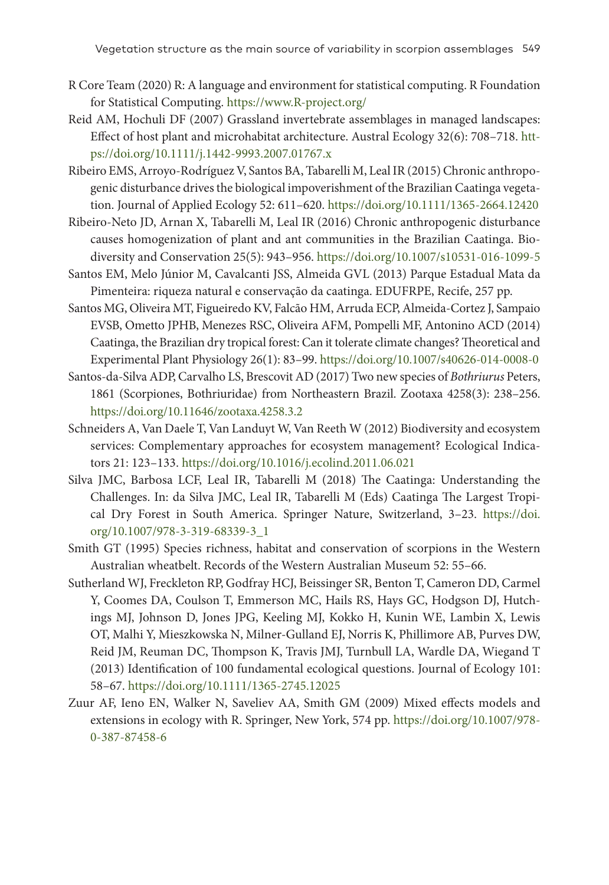- R Core Team (2020) R: A language and environment for statistical computing. R Foundation for Statistical Computing.<https://www.R-project.org/>
- Reid AM, Hochuli DF (2007) Grassland invertebrate assemblages in managed landscapes: Effect of host plant and microhabitat architecture. Austral Ecology 32(6): 708–718. [htt](https://doi.org/10.1111/j.1442-9993.2007.01767.x)[ps://doi.org/10.1111/j.1442-9993.2007.01767.x](https://doi.org/10.1111/j.1442-9993.2007.01767.x)
- Ribeiro EMS, Arroyo-Rodríguez V, Santos BA, Tabarelli M, Leal IR (2015) Chronic anthropogenic disturbance drives the biological impoverishment of the Brazilian Caatinga vegetation. Journal of Applied Ecology 52: 611–620. <https://doi.org/10.1111/1365-2664.12420>
- Ribeiro-Neto JD, Arnan X, Tabarelli M, Leal IR (2016) Chronic anthropogenic disturbance causes homogenization of plant and ant communities in the Brazilian Caatinga. Biodiversity and Conservation 25(5): 943–956. <https://doi.org/10.1007/s10531-016-1099-5>
- Santos EM, Melo Júnior M, Cavalcanti JSS, Almeida GVL (2013) Parque Estadual Mata da Pimenteira: riqueza natural e conservação da caatinga. EDUFRPE, Recife, 257 pp.
- Santos MG, Oliveira MT, Figueiredo KV, Falcão HM, Arruda ECP, Almeida-Cortez J, Sampaio EVSB, Ometto JPHB, Menezes RSC, Oliveira AFM, Pompelli MF, Antonino ACD (2014) Caatinga, the Brazilian dry tropical forest: Can it tolerate climate changes? Theoretical and Experimental Plant Physiology 26(1): 83–99.<https://doi.org/10.1007/s40626-014-0008-0>
- Santos-da-Silva ADP, Carvalho LS, Brescovit AD (2017) Two new species of *Bothriurus* Peters, 1861 (Scorpiones, Bothriuridae) from Northeastern Brazil. Zootaxa 4258(3): 238–256. <https://doi.org/10.11646/zootaxa.4258.3.2>
- Schneiders A, Van Daele T, Van Landuyt W, Van Reeth W (2012) Biodiversity and ecosystem services: Complementary approaches for ecosystem management? Ecological Indicators 21: 123–133. <https://doi.org/10.1016/j.ecolind.2011.06.021>
- Silva JMC, Barbosa LCF, Leal IR, Tabarelli M (2018) The Caatinga: Understanding the Challenges. In: da Silva JMC, Leal IR, Tabarelli M (Eds) Caatinga The Largest Tropical Dry Forest in South America. Springer Nature, Switzerland, 3–23. [https://doi.](https://doi.org/10.1007/978-3-319-68339-3_1) [org/10.1007/978-3-319-68339-3\\_1](https://doi.org/10.1007/978-3-319-68339-3_1)
- Smith GT (1995) Species richness, habitat and conservation of scorpions in the Western Australian wheatbelt. Records of the Western Australian Museum 52: 55–66.
- Sutherland WJ, Freckleton RP, Godfray HCJ, Beissinger SR, Benton T, Cameron DD, Carmel Y, Coomes DA, Coulson T, Emmerson MC, Hails RS, Hays GC, Hodgson DJ, Hutchings MJ, Johnson D, Jones JPG, Keeling MJ, Kokko H, Kunin WE, Lambin X, Lewis OT, Malhi Y, Mieszkowska N, Milner-Gulland EJ, Norris K, Phillimore AB, Purves DW, Reid JM, Reuman DC, Thompson K, Travis JMJ, Turnbull LA, Wardle DA, Wiegand T (2013) Identification of 100 fundamental ecological questions. Journal of Ecology 101: 58–67.<https://doi.org/10.1111/1365-2745.12025>
- Zuur AF, Ieno EN, Walker N, Saveliev AA, Smith GM (2009) Mixed effects models and extensions in ecology with R. Springer, New York, 574 pp. [https://doi.org/10.1007/978-](https://doi.org/10.1007/978-0-387-87458-6) [0-387-87458-6](https://doi.org/10.1007/978-0-387-87458-6)